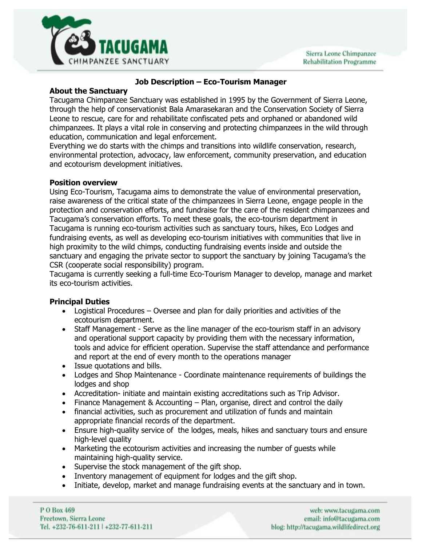

# **Job Description – Eco-Tourism Manager**

## **About the Sanctuary**

Tacugama Chimpanzee Sanctuary was established in 1995 by the Government of Sierra Leone, through the help of conservationist Bala Amarasekaran and the Conservation Society of Sierra Leone to rescue, care for and rehabilitate confiscated pets and orphaned or abandoned wild chimpanzees. It plays a vital role in conserving and protecting chimpanzees in the wild through education, communication and legal enforcement.

Everything we do starts with the chimps and transitions into wildlife conservation, research, environmental protection, advocacy, law enforcement, community preservation, and education and ecotourism development initiatives.

# **Position overview**

Using Eco-Tourism, Tacugama aims to demonstrate the value of environmental preservation, raise awareness of the critical state of the chimpanzees in Sierra Leone, engage people in the protection and conservation efforts, and fundraise for the care of the resident chimpanzees and Tacugama's conservation efforts. To meet these goals, the eco-tourism department in Tacugama is running eco-tourism activities such as sanctuary tours, hikes, Eco Lodges and fundraising events, as well as developing eco-tourism initiatives with communities that live in high proximity to the wild chimps, conducting fundraising events inside and outside the sanctuary and engaging the private sector to support the sanctuary by joining Tacugama's the CSR (cooperate social responsibility) program.

Tacugama is currently seeking a full-time Eco-Tourism Manager to develop, manage and market its eco-tourism activities.

#### **Principal Duties**

- Logistical Procedures Oversee and plan for daily priorities and activities of the ecotourism department.
- Staff Management Serve as the line manager of the eco-tourism staff in an advisory and operational support capacity by providing them with the necessary information, tools and advice for efficient operation. Supervise the staff attendance and performance and report at the end of every month to the operations manager
- Issue quotations and bills.
- Lodges and Shop Maintenance Coordinate maintenance requirements of buildings the lodges and shop
- Accreditation- initiate and maintain existing accreditations such as Trip Advisor.
- Finance Management & Accounting Plan, organise, direct and control the daily
- financial activities, such as procurement and utilization of funds and maintain appropriate financial records of the department.
- Ensure high-quality service of the lodges, meals, hikes and sanctuary tours and ensure high-level quality
- Marketing the ecotourism activities and increasing the number of guests while maintaining high-quality service.
- Supervise the stock management of the gift shop.
- Inventory management of equipment for lodges and the gift shop.
- Initiate, develop, market and manage fundraising events at the sanctuary and in town.